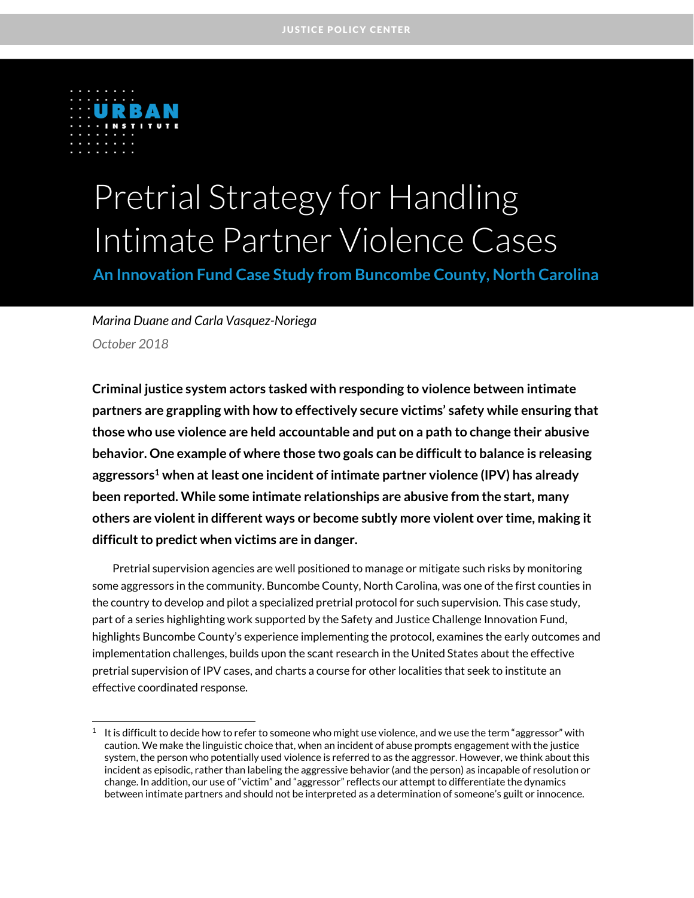

 $\overline{a}$ 

# Pretrial Strategy for Handling Intimate Partner Violence Cases

**An Innovation Fund Case Study from Buncombe County, North Carolina**

#### *Marina Duane and Carla Vasquez-Noriega October 2018*

**Criminal justice system actors tasked with responding to violence between intimate partners are grappling with how to effectively secure victims' safety while ensuring that those who use violence are held accountable and put on a path to change their abusive behavior. One example of where those two goals can be difficult to balance is releasing aggressors <sup>1</sup> when at least one incident of intimate partner violence (IPV) has already been reported. While some intimate relationships are abusive from the start, many others are violent in different ways or become subtly more violent over time, making it difficult to predict when victims are in danger.**

Pretrial supervision agencies are well positioned to manage or mitigate such risks by monitoring some aggressors in the community. Buncombe County, North Carolina, was one of the first counties in the country to develop and pilot a specialized pretrial protocol for such supervision. This case study, part of a series highlighting work supported by the Safety and Justice Challenge Innovation Fund, highlights Buncombe County's experience implementing the protocol, examines the early outcomes and implementation challenges, builds upon the scant research in the United States about the effective pretrial supervision of IPV cases, and charts a course for other localities that seek to institute an effective coordinated response.

 $^1$  It is difficult to decide how to refer to someone who might use violence, and we use the term "aggressor" with caution. We make the linguistic choice that, when an incident of abuse prompts engagement with the justice system, the person who potentially used violence is referred to as the aggressor. However, we think about this incident as episodic, rather than labeling the aggressive behavior (and the person) as incapable of resolution or change. In addition, our use of "victim" and "aggressor" reflects our attempt to differentiate the dynamics between intimate partners and should not be interpreted as a determination of someone's guilt or innocence.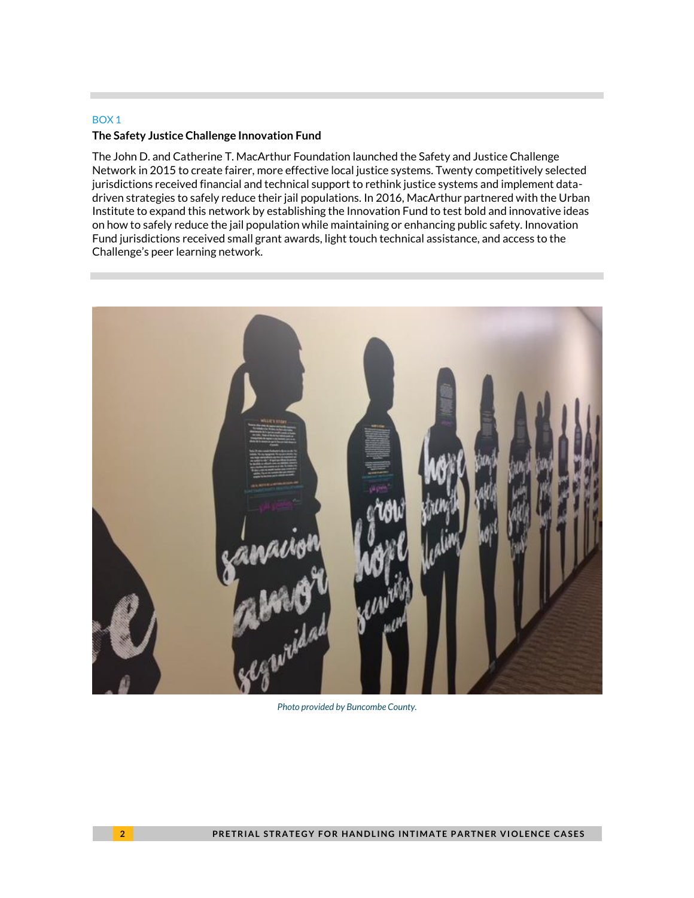#### BOX 1

#### **The Safety Justice Challenge Innovation Fund**

The John D. and Catherine T. MacArthur Foundation launched the Safety and Justice Challenge Network in 2015 to create fairer, more effective local justice systems. Twenty competitively selected jurisdictions received financial and technical support to rethink justice systems and implement datadriven strategies to safely reduce their jail populations. In 2016, MacArthur partnered with the Urban Institute to expand this network by establishing the Innovation Fund to test bold and innovative ideas on how to safely reduce the jail population while maintaining or enhancing public safety. Innovation Fund jurisdictions received small grant awards, light touch technical assistance, and access to the Challenge's peer learning network.



*Photo provided by Buncombe County.*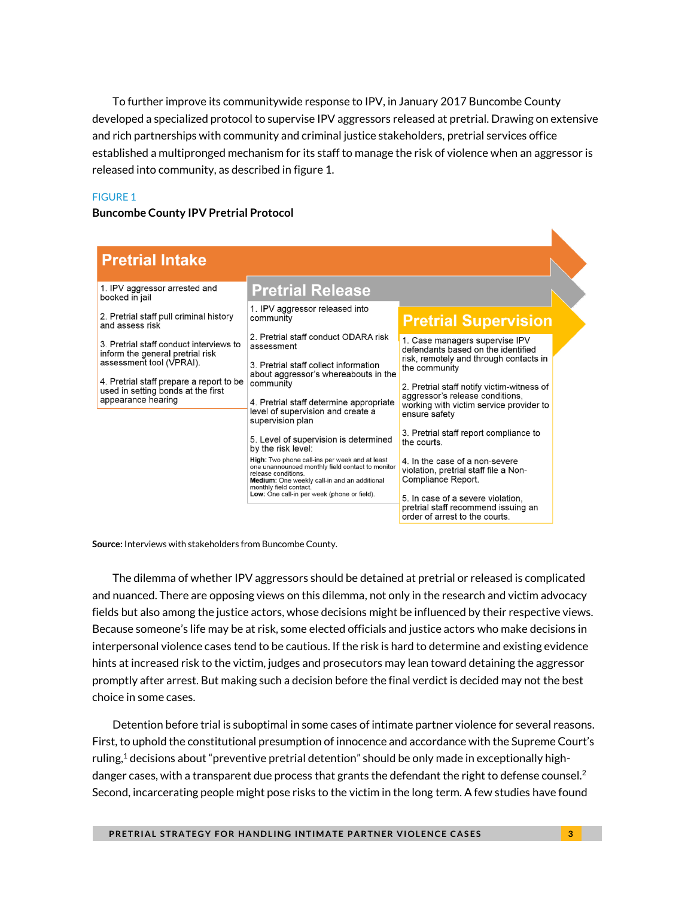To further improve its communitywide response to IPV, in January 2017 Buncombe County developed a specialized protocol to supervise IPV aggressors released at pretrial. Drawing on extensive and rich partnerships with community and criminal justice stakeholders, pretrial services office established a multipronged mechanism for its staff to manage the risk of violence when an aggressor is released into community, as described in figure 1.

#### FIGURE 1

#### **Buncombe County IPV Pretrial Protocol**

| <b>Pretrial Intake</b>                                                                                                                                                                                          |                                                                                                                                                                                                                                                                                                                   |                                                                                                                                                                                                                                                                              |
|-----------------------------------------------------------------------------------------------------------------------------------------------------------------------------------------------------------------|-------------------------------------------------------------------------------------------------------------------------------------------------------------------------------------------------------------------------------------------------------------------------------------------------------------------|------------------------------------------------------------------------------------------------------------------------------------------------------------------------------------------------------------------------------------------------------------------------------|
| 1. IPV aggressor arrested and<br>booked in jail                                                                                                                                                                 | <b>Pretrial Release</b>                                                                                                                                                                                                                                                                                           |                                                                                                                                                                                                                                                                              |
| 2. Pretrial staff pull criminal history<br>and assess risk                                                                                                                                                      | 1. IPV aggressor released into<br>community                                                                                                                                                                                                                                                                       | <b>Pretrial Supervision</b>                                                                                                                                                                                                                                                  |
| 3. Pretrial staff conduct interviews to<br>inform the general pretrial risk<br>assessment tool (VPRAI).<br>4. Pretrial staff prepare a report to be<br>used in setting bonds at the first<br>appearance hearing | 2. Pretrial staff conduct ODARA risk<br>assessment<br>3. Pretrial staff collect information<br>about aggressor's whereabouts in the<br>community<br>4. Pretrial staff determine appropriate<br>level of supervision and create a<br>supervision plan                                                              | 1. Case managers supervise IPV<br>defendants based on the identified<br>risk, remotely and through contacts in<br>the community<br>2. Pretrial staff notify victim-witness of<br>aggressor's release conditions.<br>working with victim service provider to<br>ensure safety |
|                                                                                                                                                                                                                 | 5. Level of supervision is determined<br>by the risk level:<br>High: Two phone call-ins per week and at least<br>one unannounced monthly field contact to monitor<br>release conditions.<br>Medium: One weekly call-in and an additional<br>monthly field contact.<br>Low: One call-in per week (phone or field). | 3. Pretrial staff report compliance to<br>the courts<br>4. In the case of a non-severe<br>violation, pretrial staff file a Non-<br>Compliance Report.<br>5. In case of a severe violation.<br>pretrial staff recommend issuing an<br>order of arrest to the courts.          |

**Source:** Interviews with stakeholders from Buncombe County.

The dilemma of whether IPV aggressors should be detained at pretrial or released is complicated and nuanced. There are opposing views on this dilemma, not only in the research and victim advocacy fields but also among the justice actors, whose decisions might be influenced by their respective views. Because someone's life may be at risk, some elected officials and justice actors who make decisions in interpersonal violence cases tend to be cautious. If the risk is hard to determine and existing evidence hints at increased risk to the victim, judges and prosecutors may lean toward detaining the aggressor promptly after arrest. But making such a decision before the final verdict is decided may not the best choice in some cases.

Detention before trial is suboptimal in some cases of intimate partner violence for several reasons. First, to uphold the constitutional presumption of innocence and accordance with the Supreme Court's ruling, <sup>1</sup> decisions about "preventive pretrial detention" should be only made in exceptionally highdanger cases, with a transparent due process that grants the defendant the right to defense counsel.<sup>2</sup> Second, incarcerating people might pose risks to the victim in the long term. A few studies have found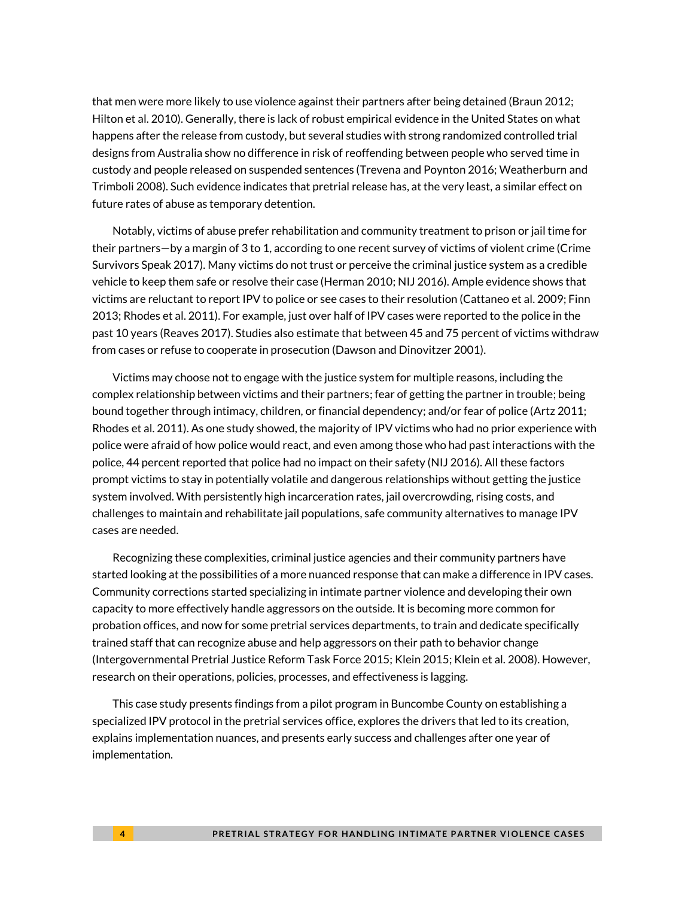that men were more likely to use violence against their partners after being detained (Braun 2012; Hilton et al. 2010). Generally, there is lack of robust empirical evidence in the United States on what happens after the release from custody, but several studies with strong randomized controlled trial designs from Australia show no difference in risk of reoffending between people who served time in custody and people released on suspended sentences (Trevena and Poynton 2016; Weatherburn and Trimboli 2008). Such evidence indicates that pretrial release has, at the very least, a similar effect on future rates of abuse as temporary detention.

Notably, victims of abuse prefer rehabilitation and community treatment to prison or jail time for their partners—by a margin of 3 to 1, according to one recent survey of victims of violent crime (Crime Survivors Speak 2017). Many victims do not trust or perceive the criminal justice system as a credible vehicle to keep them safe or resolve their case (Herman 2010; NIJ 2016). Ample evidence shows that victims are reluctant to report IPV to police or see cases to their resolution (Cattaneo et al. 2009; Finn 2013; Rhodes et al. 2011). For example, just over half of IPV cases were reported to the police in the past 10 years (Reaves 2017). Studies also estimate that between 45 and 75 percent of victims withdraw from cases or refuse to cooperate in prosecution (Dawson and Dinovitzer 2001).

Victims may choose not to engage with the justice system for multiple reasons, including the complex relationship between victims and their partners; fear of getting the partner in trouble; being bound together through intimacy, children, or financial dependency; and/or fear of police (Artz 2011; Rhodes et al. 2011). As one study showed, the majority of IPV victims who had no prior experience with police were afraid of how police would react, and even among those who had past interactions with the police, 44 percent reported that police had no impact on their safety (NIJ 2016). All these factors prompt victims to stay in potentially volatile and dangerous relationships without getting the justice system involved. With persistently high incarceration rates, jail overcrowding, rising costs, and challenges to maintain and rehabilitate jail populations, safe community alternatives to manage IPV cases are needed.

Recognizing these complexities, criminal justice agencies and their community partners have started looking at the possibilities of a more nuanced response that can make a difference in IPV cases. Community corrections started specializing in intimate partner violence and developing their own capacity to more effectively handle aggressors on the outside. It is becoming more common for probation offices, and now for some pretrial services departments, to train and dedicate specifically trained staff that can recognize abuse and help aggressors on their path to behavior change (Intergovernmental Pretrial Justice Reform Task Force 2015; Klein 2015; Klein et al. 2008). However, research on their operations, policies, processes, and effectiveness is lagging.

This case study presents findings from a pilot program in Buncombe County on establishing a specialized IPV protocol in the pretrial services office, explores the drivers that led to its creation, explains implementation nuances, and presents early success and challenges after one year of implementation.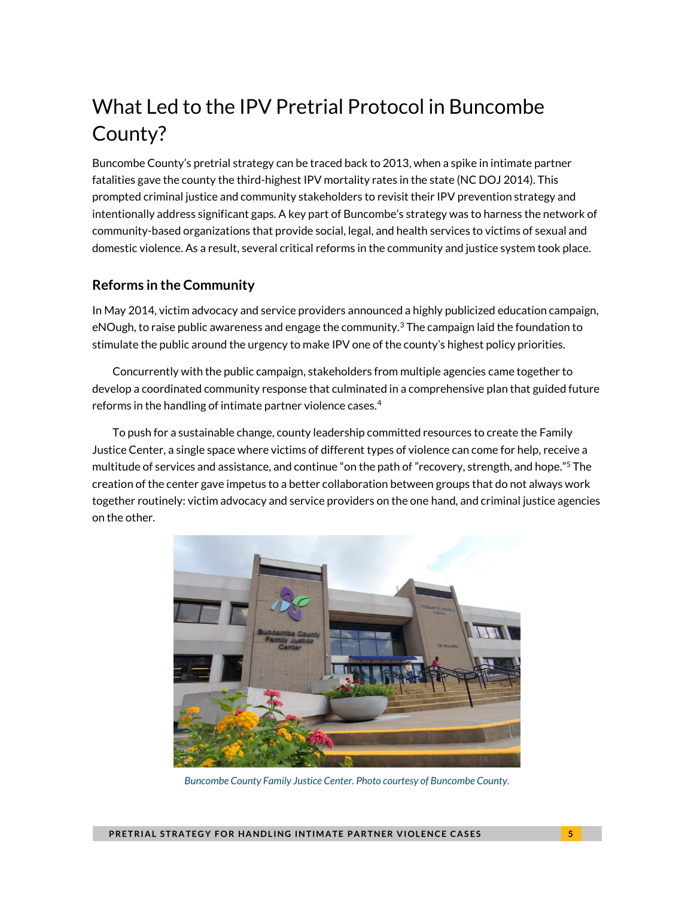# What Led to the IPV Pretrial Protocol in Buncombe County?

Buncombe County's pretrial strategy can be traced back to 2013, when a spike in intimate partner fatalities gave the county the third-highest IPV mortality rates in the state (NC DOJ 2014). This prompted criminal justice and community stakeholders to revisit their IPV prevention strategy and intentionally address significant gaps. A key part of Buncombe's strategy was to harness the network of community-based organizations that provide social, legal, and health services to victims of sexual and domestic violence. As a result, several critical reforms in the community and justice system took place.

#### **Reforms in the Community**

In May 2014, victim advocacy and service providers announced a highly publicized education campaign, eNOugh, to raise public awareness and engage the community.<sup>3</sup> The campaign laid the foundation to stimulate the public around the urgency to make IPV one of the county's highest policy priorities.

Concurrently with the public campaign, stakeholders from multiple agencies came together to develop a coordinated community response that culminated in a comprehensive plan that guided future reforms in the handling of intimate partner violence cases. $4$ 

To push for a sustainable change, county leadership committed resources to create the Family Justice Center, a single space where victims of different types of violence can come for help, receive a multitude of services and assistance, and continue "on the path of "recovery, strength, and hope." <sup>5</sup> The creation of the center gave impetus to a better collaboration between groups that do not always work together routinely: victim advocacy and service providers on the one hand, and criminal justice agencies on the other.



*Buncombe County Family Justice Center. Photo courtesy of Buncombe County.*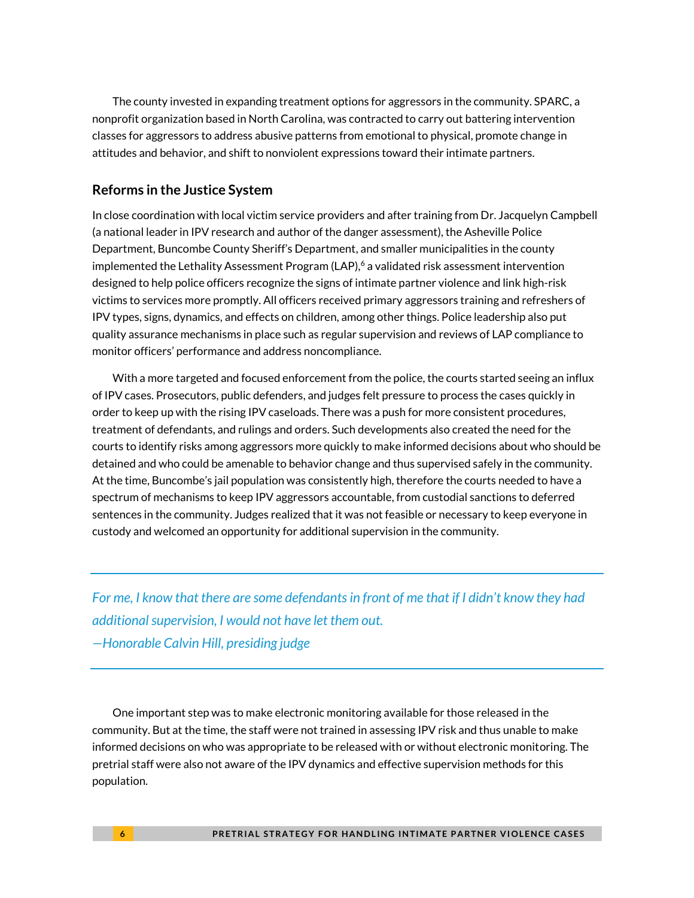The county invested in expanding treatment options for aggressors in the community. SPARC, a nonprofit organization based in North Carolina, was contracted to carry out battering intervention classes for aggressors to address abusive patterns from emotional to physical, promote change in attitudes and behavior, and shift to nonviolent expressions toward their intimate partners.

#### **Reforms in the Justice System**

In close coordination with local victim service providers and after training from Dr. Jacquelyn Campbell (a national leader in IPV research and author of the danger assessment), the Asheville Police Department, Buncombe County Sheriff's Department, and smaller municipalities in the county implemented the Lethality Assessment Program (LAP),  $6$  a validated risk assessment intervention designed to help police officers recognize the signs of intimate partner violence and link high-risk victims to services more promptly. All officers received primary aggressors training and refreshers of IPV types, signs, dynamics, and effects on children, among other things. Police leadership also put quality assurance mechanisms in place such as regular supervision and reviews of LAP compliance to monitor officers' performance and address noncompliance.

With a more targeted and focused enforcement from the police, the courts started seeing an influx of IPV cases. Prosecutors, public defenders, and judges felt pressure to process the cases quickly in order to keep up with the rising IPV caseloads. There was a push for more consistent procedures, treatment of defendants, and rulings and orders. Such developments also created the need for the courts to identify risks among aggressors more quickly to make informed decisions about who should be detained and who could be amenable to behavior change and thus supervised safely in the community. At the time, Buncombe's jail population was consistently high, therefore the courts needed to have a spectrum of mechanisms to keep IPV aggressors accountable, from custodial sanctions to deferred sentences in the community. Judges realized that it was not feasible or necessary to keep everyone in custody and welcomed an opportunity for additional supervision in the community.

*For me, I know that there are some defendants in front of me that if I didn't know they had additional supervision, I would not have let them out. —Honorable Calvin Hill, presiding judge*

One important step was to make electronic monitoring available for those released in the community. But at the time, the staff were not trained in assessing IPV risk and thus unable to make informed decisions on who was appropriate to be released with or without electronic monitoring. The pretrial staff were also not aware of the IPV dynamics and effective supervision methods for this population.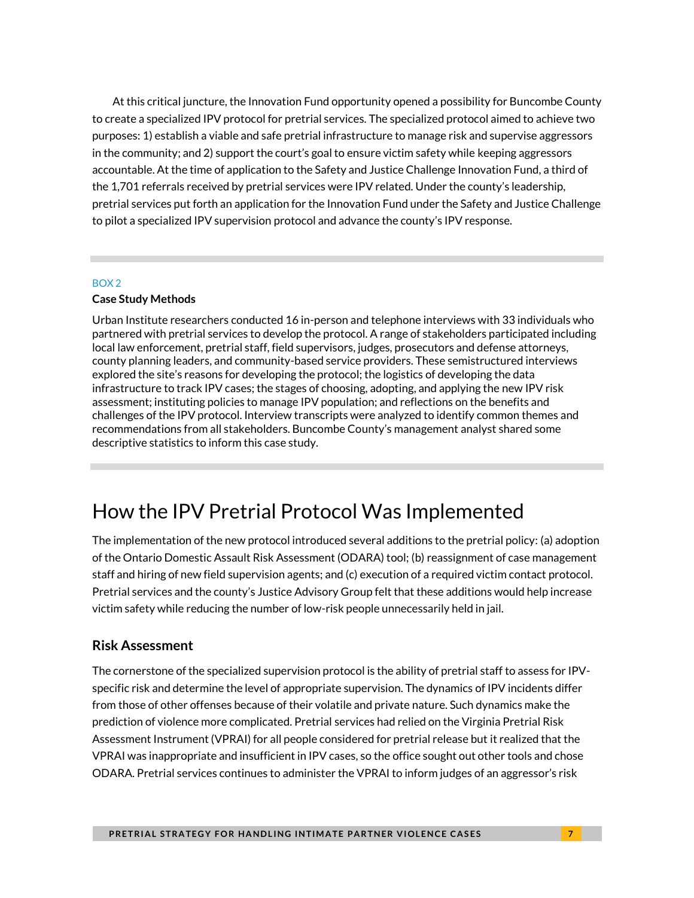At this critical juncture, the Innovation Fund opportunity opened a possibility for Buncombe County to create a specialized IPV protocol for pretrial services. The specialized protocol aimed to achieve two purposes: 1) establish a viable and safe pretrial infrastructure to manage risk and supervise aggressors in the community; and 2) support the court's goal to ensure victim safety while keeping aggressors accountable. At the time of application to the Safety and Justice Challenge Innovation Fund, a third of the 1,701 referrals received by pretrial services were IPV related. Under the county's leadership, pretrial services put forth an application for the Innovation Fund under the Safety and Justice Challenge to pilot a specialized IPV supervision protocol and advance the county's IPV response.

#### BOX 2

#### **Case Study Methods**

Urban Institute researchers conducted 16 in-person and telephone interviews with 33 individuals who partnered with pretrial services to develop the protocol. A range of stakeholders participated including local law enforcement, pretrial staff, field supervisors, judges, prosecutors and defense attorneys, county planning leaders, and community-based service providers. These semistructured interviews explored the site's reasons for developing the protocol; the logistics of developing the data infrastructure to track IPV cases; the stages of choosing, adopting, and applying the new IPV risk assessment; instituting policies to manage IPV population; and reflections on the benefits and challenges of the IPV protocol. Interview transcripts were analyzed to identify common themes and recommendations from all stakeholders. Buncombe County's management analyst shared some descriptive statistics to inform this case study.

# How the IPV Pretrial Protocol Was Implemented

The implementation of the new protocol introduced several additions to the pretrial policy: (a) adoption of the Ontario Domestic Assault Risk Assessment (ODARA) tool; (b) reassignment of case management staff and hiring of new field supervision agents; and (c) execution of a required victim contact protocol. Pretrial services and the county's Justice Advisory Group felt that these additions would help increase victim safety while reducing the number of low-risk people unnecessarily held in jail.

#### **Risk Assessment**

The cornerstone of the specialized supervision protocol is the ability of pretrial staff to assess for IPVspecific risk and determine the level of appropriate supervision. The dynamics of IPV incidents differ from those of other offenses because of their volatile and private nature. Such dynamics make the prediction of violence more complicated. Pretrial services had relied on the Virginia Pretrial Risk Assessment Instrument (VPRAI) for all people considered for pretrial release but it realized that the VPRAI was inappropriate and insufficient in IPV cases, so the office sought out other tools and chose ODARA. Pretrial services continues to administer the VPRAI to inform judges of an aggressor's risk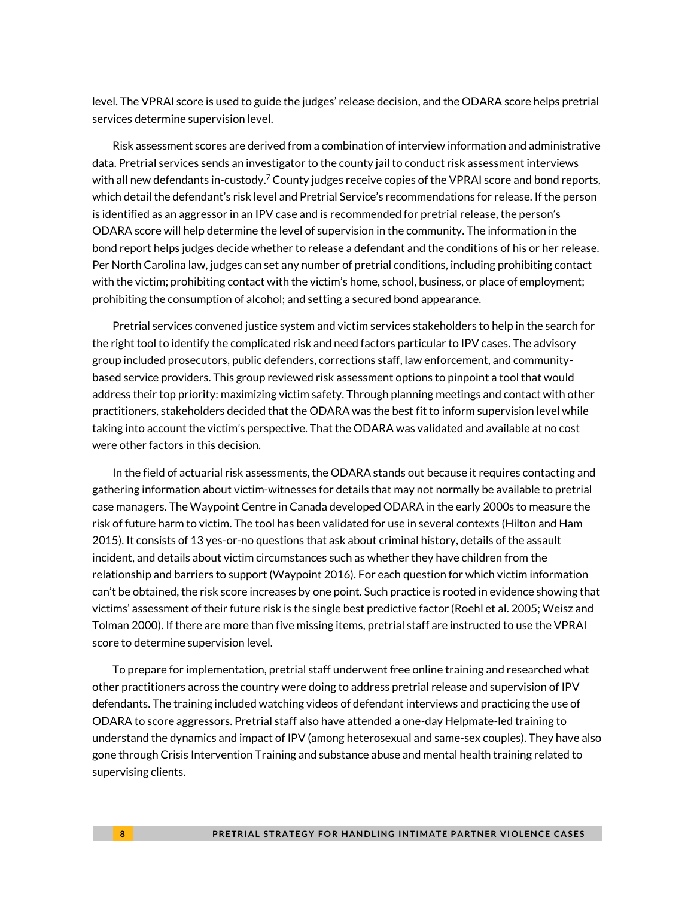level. The VPRAI score is used to guide the judges' release decision, and the ODARA score helps pretrial services determine supervision level.

Risk assessment scores are derived from a combination of interview information and administrative data. Pretrial services sends an investigator to the county jail to conduct risk assessment interviews with all new defendants in-custody.<sup>7</sup> County judges receive copies of the VPRAI score and bond reports, which detail the defendant's risk level and Pretrial Service's recommendations for release. If the person is identified as an aggressor in an IPV case and is recommended for pretrial release, the person's ODARA score will help determine the level of supervision in the community. The information in the bond report helps judges decide whether to release a defendant and the conditions of his or her release. Per North Carolina law, judges can set any number of pretrial conditions, including prohibiting contact with the victim; prohibiting contact with the victim's home, school, business, or place of employment; prohibiting the consumption of alcohol; and setting a secured bond appearance.

Pretrial services convened justice system and victim services stakeholders to help in the search for the right tool to identify the complicated risk and need factors particular to IPV cases. The advisory group included prosecutors, public defenders, corrections staff, law enforcement, and communitybased service providers. This group reviewed risk assessment options to pinpoint a tool that would address their top priority: maximizing victim safety. Through planning meetings and contact with other practitioners, stakeholders decided that the ODARA was the best fit to inform supervision level while taking into account the victim's perspective. That the ODARA was validated and available at no cost were other factors in this decision.

In the field of actuarial risk assessments, the ODARA stands out because it requires contacting and gathering information about victim-witnesses for details that may not normally be available to pretrial case managers. The Waypoint Centre in Canada developed ODARA in the early 2000s to measure the risk of future harm to victim. The tool has been validated for use in several contexts (Hilton and Ham 2015). It consists of 13 yes-or-no questions that ask about criminal history, details of the assault incident, and details about victim circumstances such as whether they have children from the relationship and barriers to support (Waypoint 2016). For each question for which victim information can't be obtained, the risk score increases by one point. Such practice is rooted in evidence showing that victims' assessment of their future risk is the single best predictive factor (Roehl et al. 2005; Weisz and Tolman 2000). If there are more than five missing items, pretrial staff are instructed to use the VPRAI score to determine supervision level.

To prepare for implementation, pretrial staff underwent free online training and researched what other practitioners across the country were doing to address pretrial release and supervision of IPV defendants. The training included watching videos of defendant interviews and practicing the use of ODARA to score aggressors. Pretrial staff also have attended a one-day Helpmate-led training to understand the dynamics and impact of IPV (among heterosexual and same-sex couples). They have also gone through Crisis Intervention Training and substance abuse and mental health training related to supervising clients.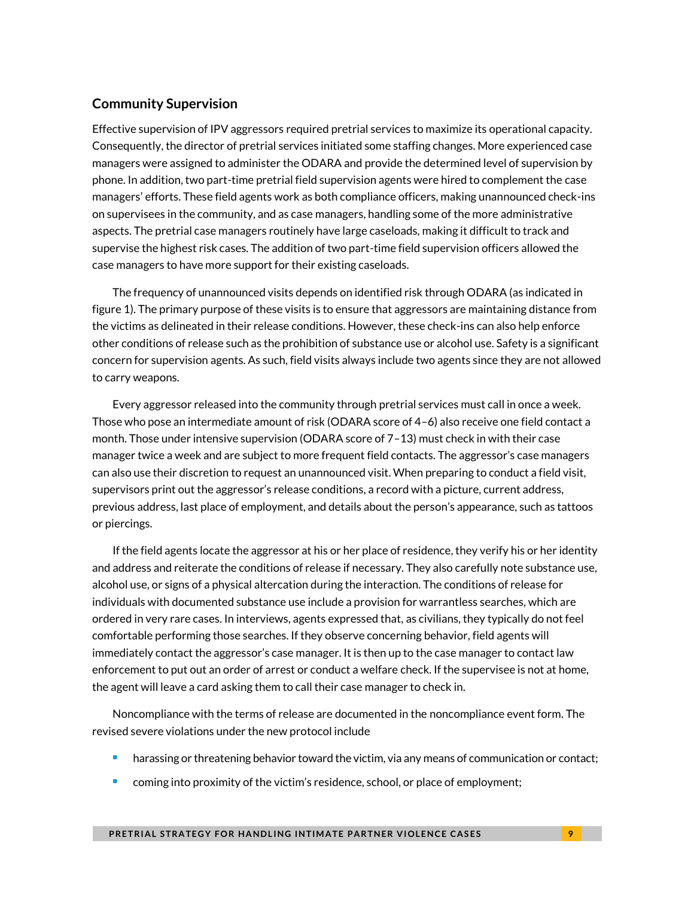#### **Community Supervision**

Effective supervision of IPV aggressors required pretrial services to maximize its operational capacity. Consequently, the director of pretrial services initiated some staffing changes. More experienced case managers were assigned to administer the ODARA and provide the determined level of supervision by phone. In addition, two part-time pretrial field supervision agents were hired to complement the case managers' efforts. These field agents work as both compliance officers, making unannounced check-ins on supervisees in the community, and as case managers, handling some of the more administrative aspects. The pretrial case managers routinely have large caseloads, making it difficult to track and supervise the highest risk cases. The addition of two part-time field supervision officers allowed the case managers to have more support for their existing caseloads.

The frequency of unannounced visits depends on identified risk through ODARA (as indicated in figure 1). The primary purpose of these visits is to ensure that aggressors are maintaining distance from the victims as delineated in their release conditions. However, these check-ins can also help enforce other conditions of release such as the prohibition of substance use or alcohol use. Safety is a significant concern for supervision agents. As such, field visits always include two agents since they are not allowed to carry weapons.

Every aggressor released into the community through pretrial services must call in once a week. Those who pose an intermediate amount of risk (ODARA score of 4–6) also receive one field contact a month. Those under intensive supervision (ODARA score of 7–13) must check in with their case manager twice a week and are subject to more frequent field contacts. The aggressor's case managers can also use their discretion to request an unannounced visit. When preparing to conduct a field visit, supervisors print out the aggressor's release conditions, a record with a picture, current address, previous address, last place of employment, and details about the person's appearance, such as tattoos or piercings.

If the field agents locate the aggressor at his or her place of residence, they verify his or her identity and address and reiterate the conditions of release if necessary. They also carefully note substance use, alcohol use, or signs of a physical altercation during the interaction. The conditions of release for individuals with documented substance use include a provision for warrantless searches, which are ordered in very rare cases. In interviews, agents expressed that, as civilians, they typically do not feel comfortable performing those searches. If they observe concerning behavior, field agents will immediately contact the aggressor's case manager. It is then up to the case manager to contact law enforcement to put out an order of arrest or conduct a welfare check. If the supervisee is not at home, the agent will leave a card asking them to call their case manager to check in.

Noncompliance with the terms of release are documented in the noncompliance event form. The revised severe violations under the new protocol include

- harassing or threatening behavior toward the victim, via any means of communication or contact;
- coming into proximity of the victim's residence, school, or place of employment;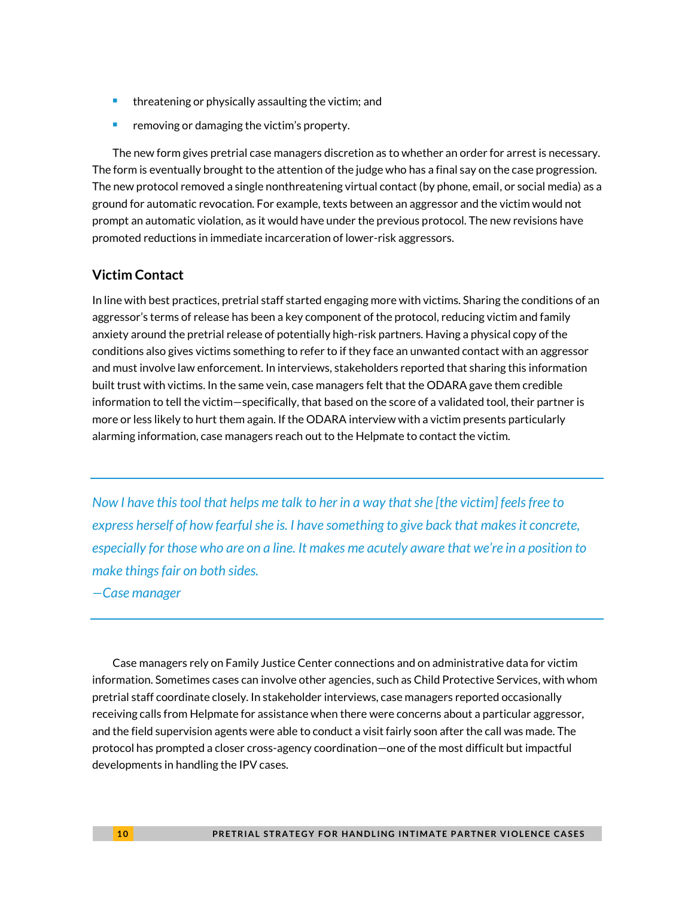- **threatening or physically assaulting the victim; and**
- removing or damaging the victim's property.

The new form gives pretrial case managers discretion as to whether an order for arrest is necessary. The form is eventually brought to the attention of the judge who has a final say on the case progression. The new protocol removed a single nonthreatening virtual contact (by phone, email, or social media) as a ground for automatic revocation. For example, texts between an aggressor and the victim would not prompt an automatic violation, as it would have under the previous protocol. The new revisions have promoted reductions in immediate incarceration of lower-risk aggressors.

#### **Victim Contact**

In line with best practices, pretrial staff started engaging more with victims. Sharing the conditions of an aggressor's terms of release has been a key component of the protocol, reducing victim and family anxiety around the pretrial release of potentially high-risk partners. Having a physical copy of the conditions also gives victims something to refer to if they face an unwanted contact with an aggressor and must involve law enforcement. In interviews, stakeholders reported that sharing this information built trust with victims. In the same vein, case managers felt that the ODARA gave them credible information to tell the victim—specifically, that based on the score of a validated tool, their partner is more or less likely to hurt them again. If the ODARA interview with a victim presents particularly alarming information, case managers reach out to the Helpmate to contact the victim.

*Now I have this tool that helps me talk to her in a way that she [the victim] feels free to express herself of how fearful she is. I have something to give back that makes it concrete, especially for those who are on a line. It makes me acutely aware that we're in a position to make things fair on both sides.*

*—Case manager*

Case managers rely on Family Justice Center connections and on administrative data for victim information. Sometimes cases can involve other agencies, such as Child Protective Services, with whom pretrial staff coordinate closely. In stakeholder interviews, case managers reported occasionally receiving calls from Helpmate for assistance when there were concerns about a particular aggressor, and the field supervision agents were able to conduct a visit fairly soon after the call was made. The protocol has prompted a closer cross-agency coordination—one of the most difficult but impactful developments in handling the IPV cases.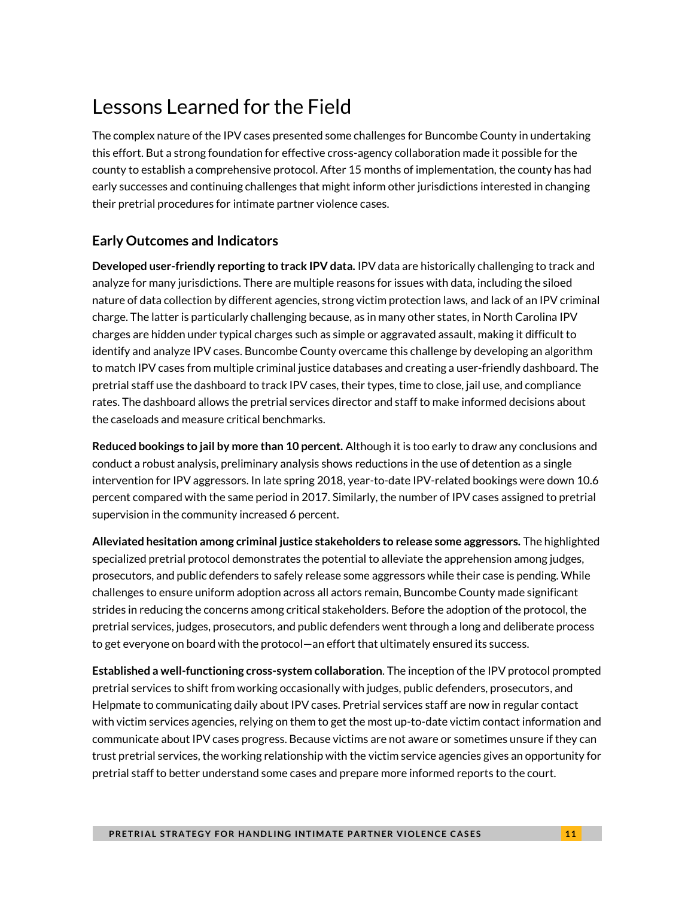# Lessons Learned for the Field

The complex nature of the IPV cases presented some challenges for Buncombe County in undertaking this effort. But a strong foundation for effective cross-agency collaboration made it possible for the county to establish a comprehensive protocol. After 15 months of implementation, the county has had early successes and continuing challenges that might inform other jurisdictions interested in changing their pretrial procedures for intimate partner violence cases.

#### **Early Outcomes and Indicators**

**Developed user-friendly reporting to track IPV data.** IPV data are historically challenging to track and analyze for many jurisdictions. There are multiple reasons for issues with data, including the siloed nature of data collection by different agencies, strong victim protection laws, and lack of an IPV criminal charge. The latter is particularly challenging because, as in many other states, in North Carolina IPV charges are hidden under typical charges such as simple or aggravated assault, making it difficult to identify and analyze IPV cases. Buncombe County overcame this challenge by developing an algorithm to match IPV cases from multiple criminal justice databases and creating a user-friendly dashboard. The pretrial staff use the dashboard to track IPV cases, their types, time to close, jail use, and compliance rates. The dashboard allows the pretrial services director and staff to make informed decisions about the caseloads and measure critical benchmarks.

**Reduced bookings to jail by more than 10 percent.** Although it is too early to draw any conclusions and conduct a robust analysis, preliminary analysis shows reductions in the use of detention as a single intervention for IPV aggressors. In late spring 2018, year-to-date IPV-related bookings were down 10.6 percent compared with the same period in 2017. Similarly, the number of IPV cases assigned to pretrial supervision in the community increased 6 percent.

**Alleviated hesitation among criminal justice stakeholders to release some aggressors.** The highlighted specialized pretrial protocol demonstrates the potential to alleviate the apprehension among judges, prosecutors, and public defenders to safely release some aggressors while their case is pending. While challenges to ensure uniform adoption across all actors remain, Buncombe County made significant strides in reducing the concerns among critical stakeholders. Before the adoption of the protocol, the pretrial services, judges, prosecutors, and public defenders went through a long and deliberate process to get everyone on board with the protocol—an effort that ultimately ensured its success.

**Established a well-functioning cross-system collaboration**. The inception of the IPV protocol prompted pretrial services to shift from working occasionally with judges, public defenders, prosecutors, and Helpmate to communicating daily about IPV cases. Pretrial services staff are now in regular contact with victim services agencies, relying on them to get the most up-to-date victim contact information and communicate about IPV cases progress. Because victims are not aware or sometimes unsure if they can trust pretrial services, the working relationship with the victim service agencies gives an opportunity for pretrial staff to better understand some cases and prepare more informed reports to the court.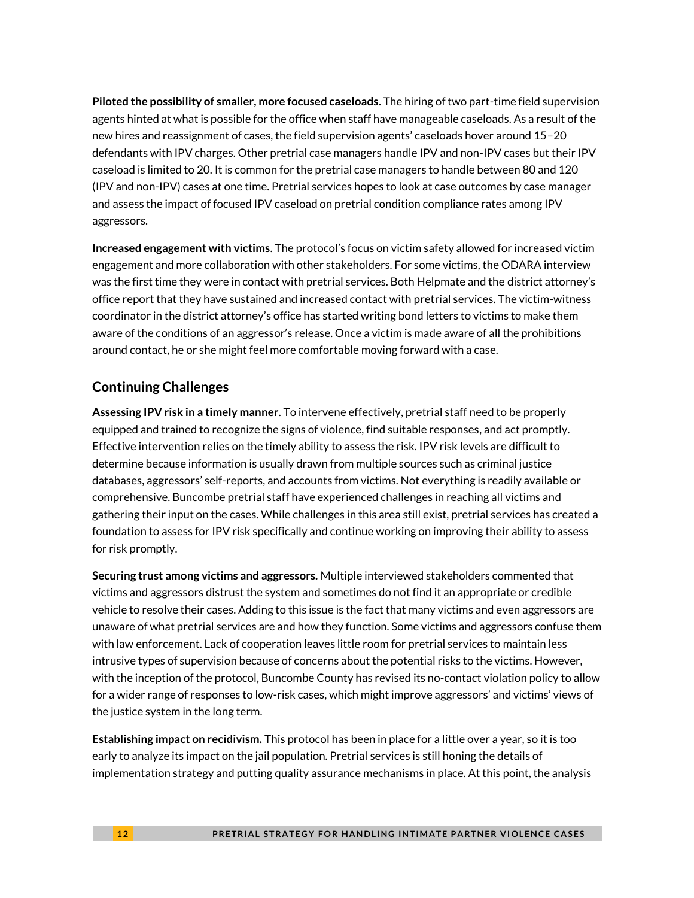**Piloted the possibility of smaller, more focused caseloads**. The hiring of two part-time field supervision agents hinted at what is possible for the office when staff have manageable caseloads. As a result of the new hires and reassignment of cases, the field supervision agents' caseloads hover around 15–20 defendants with IPV charges. Other pretrial case managers handle IPV and non-IPV cases but their IPV caseload is limited to 20. It is common for the pretrial case managers to handle between 80 and 120 (IPV and non-IPV) cases at one time. Pretrial services hopes to look at case outcomes by case manager and assess the impact of focused IPV caseload on pretrial condition compliance rates among IPV aggressors.

**Increased engagement with victims**. The protocol's focus on victim safety allowed for increased victim engagement and more collaboration with other stakeholders. For some victims, the ODARA interview was the first time they were in contact with pretrial services. Both Helpmate and the district attorney's office report that they have sustained and increased contact with pretrial services. The victim-witness coordinator in the district attorney's office has started writing bond letters to victims to make them aware of the conditions of an aggressor's release. Once a victim is made aware of all the prohibitions around contact, he or she might feel more comfortable moving forward with a case.

#### **Continuing Challenges**

**Assessing IPV risk in a timely manner**. To intervene effectively, pretrial staff need to be properly equipped and trained to recognize the signs of violence, find suitable responses, and act promptly. Effective intervention relies on the timely ability to assess the risk. IPV risk levels are difficult to determine because information is usually drawn from multiple sources such as criminal justice databases, aggressors' self-reports, and accounts from victims. Not everything is readily available or comprehensive. Buncombe pretrial staff have experienced challenges in reaching all victims and gathering their input on the cases. While challenges in this area still exist, pretrial services has created a foundation to assess for IPV risk specifically and continue working on improving their ability to assess for risk promptly.

**Securing trust among victims and aggressors.** Multiple interviewed stakeholders commented that victims and aggressors distrust the system and sometimes do not find it an appropriate or credible vehicle to resolve their cases. Adding to this issue is the fact that many victims and even aggressors are unaware of what pretrial services are and how they function. Some victims and aggressors confuse them with law enforcement. Lack of cooperation leaves little room for pretrial services to maintain less intrusive types of supervision because of concerns about the potential risks to the victims. However, with the inception of the protocol, Buncombe County has revised its no-contact violation policy to allow for a wider range of responses to low-risk cases, which might improve aggressors' and victims' views of the justice system in the long term.

**Establishing impact on recidivism.** This protocol has been in place for a little over a year, so it is too early to analyze its impact on the jail population. Pretrial services is still honing the details of implementation strategy and putting quality assurance mechanisms in place. At this point, the analysis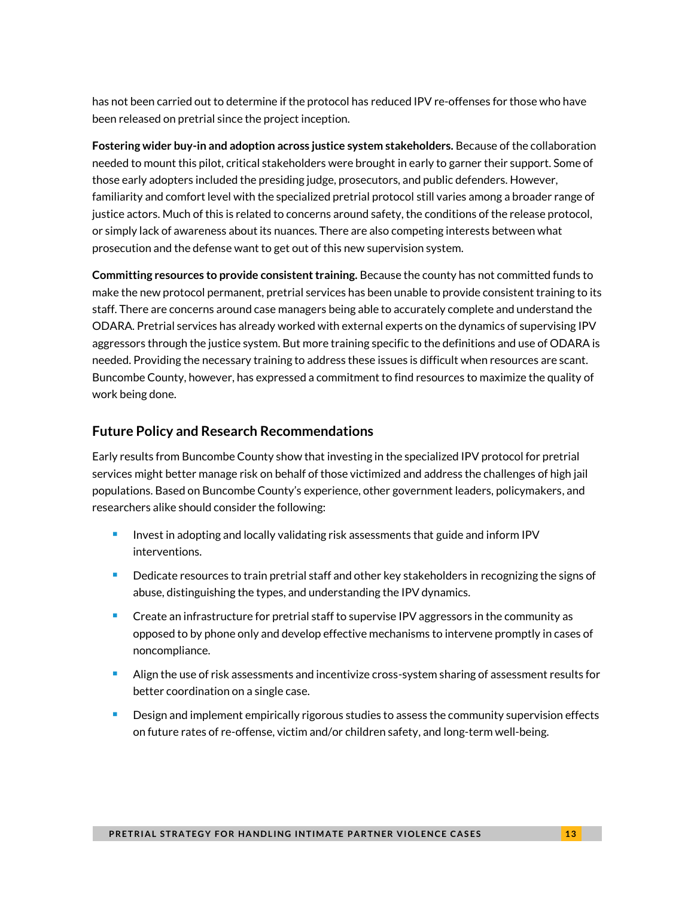has not been carried out to determine if the protocol has reduced IPV re-offenses for those who have been released on pretrial since the project inception.

**Fostering wider buy-in and adoption across justice system stakeholders.** Because of the collaboration needed to mount this pilot, critical stakeholders were brought in early to garner their support. Some of those early adopters included the presiding judge, prosecutors, and public defenders. However, familiarity and comfort level with the specialized pretrial protocol still varies among a broader range of justice actors. Much of this is related to concerns around safety, the conditions of the release protocol, or simply lack of awareness about its nuances. There are also competing interests between what prosecution and the defense want to get out of this new supervision system.

**Committing resources to provide consistent training.** Because the county has not committed funds to make the new protocol permanent, pretrial services has been unable to provide consistent training to its staff. There are concerns around case managers being able to accurately complete and understand the ODARA. Pretrial services has already worked with external experts on the dynamics of supervising IPV aggressors through the justice system. But more training specific to the definitions and use of ODARA is needed. Providing the necessary training to address these issues is difficult when resources are scant. Buncombe County, however, has expressed a commitment to find resources to maximize the quality of work being done.

#### **Future Policy and Research Recommendations**

Early results from Buncombe County show that investing in the specialized IPV protocol for pretrial services might better manage risk on behalf of those victimized and address the challenges of high jail populations. Based on Buncombe County's experience, other government leaders, policymakers, and researchers alike should consider the following:

- Invest in adopting and locally validating risk assessments that guide and inform IPV interventions.
- Dedicate resources to train pretrial staff and other key stakeholders in recognizing the signs of abuse, distinguishing the types, and understanding the IPV dynamics.
- Create an infrastructure for pretrial staff to supervise IPV aggressors in the community as opposed to by phone only and develop effective mechanisms to intervene promptly in cases of noncompliance.
- **Align the use of risk assessments and incentivize cross-system sharing of assessment results for** better coordination on a single case.
- **Design and implement empirically rigorous studies to assess the community supervision effects** on future rates of re-offense, victim and/or children safety, and long-term well-being.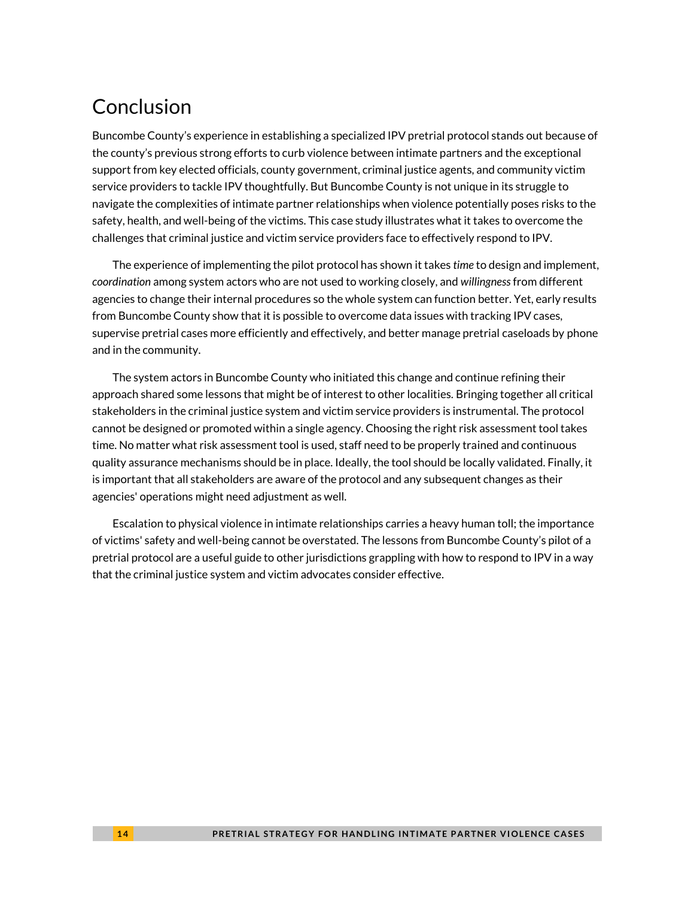# Conclusion

Buncombe County's experience in establishing a specialized IPV pretrial protocol stands out because of the county's previous strong efforts to curb violence between intimate partners and the exceptional support from key elected officials, county government, criminal justice agents, and community victim service providers to tackle IPV thoughtfully. But Buncombe County is not unique in its struggle to navigate the complexities of intimate partner relationships when violence potentially poses risks to the safety, health, and well-being of the victims. This case study illustrates what it takes to overcome the challenges that criminal justice and victim service providers face to effectively respond to IPV.

The experience of implementing the pilot protocol has shown it takes *time* to design and implement, *coordination* among system actors who are not used to working closely, and *willingness*from different agencies to change their internal procedures so the whole system can function better. Yet, early results from Buncombe County show that it is possible to overcome data issues with tracking IPV cases, supervise pretrial cases more efficiently and effectively, and better manage pretrial caseloads by phone and in the community.

The system actors in Buncombe County who initiated this change and continue refining their approach shared some lessons that might be of interest to other localities. Bringing together all critical stakeholders in the criminal justice system and victim service providers is instrumental. The protocol cannot be designed or promoted within a single agency. Choosing the right risk assessment tool takes time. No matter what risk assessment tool is used, staff need to be properly trained and continuous quality assurance mechanisms should be in place. Ideally, the tool should be locally validated. Finally, it is important that all stakeholders are aware of the protocol and any subsequent changes as their agencies' operations might need adjustment as well.

Escalation to physical violence in intimate relationships carries a heavy human toll; the importance of victims' safety and well-being cannot be overstated. The lessons from Buncombe County's pilot of a pretrial protocol are a useful guide to other jurisdictions grappling with how to respond to IPV in a way that the criminal justice system and victim advocates consider effective.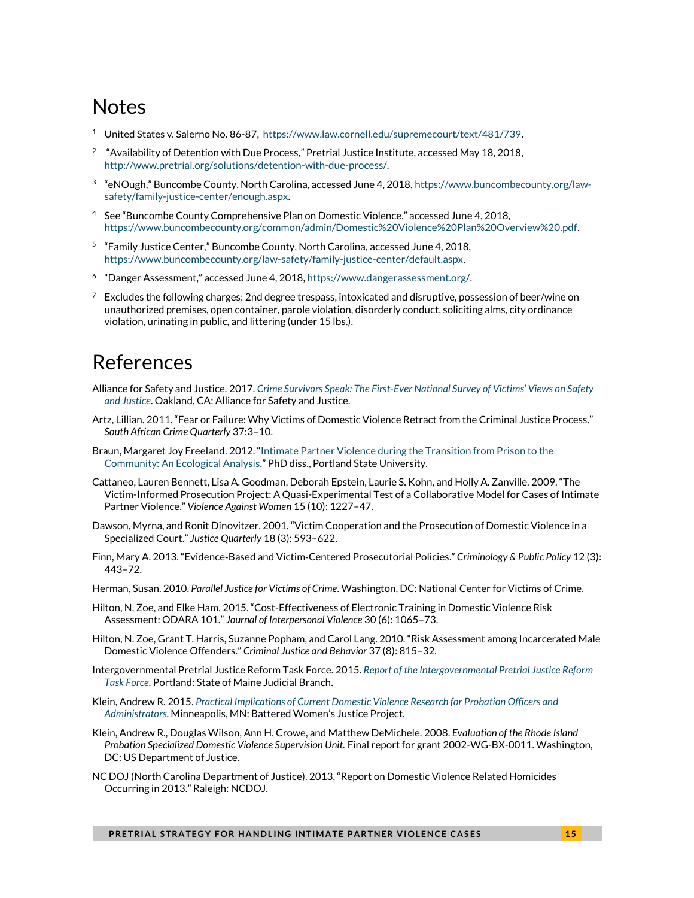## Notes

- <sup>1</sup> United States v. Salerno No. 86-87, [https://www.law.cornell.edu/supremecourt/text/481/739.](https://www.law.cornell.edu/supremecourt/text/481/739)
- 2 "Availability of Detention with Due Process," Pretrial Justice Institute, accessed May 18, 2018, [http://www.pretrial.org/solutions/detention-with-due-process/.](http://www.pretrial.org/solutions/detention-with-due-process/)
- $^3$  "eNOugh," Buncombe County, North Carolina, accessed June 4, 2018, [https://www.buncombecounty.org/law](https://www.buncombecounty.org/law-safety/family-justice-center/enough.aspx)[safety/family-justice-center/enough.aspx.](https://www.buncombecounty.org/law-safety/family-justice-center/enough.aspx)
- <sup>4</sup> See "Buncombe County Comprehensive Plan on Domestic Violence," accessed June 4, 2018, [https://www.buncombecounty.org/common/admin/Domestic%20Violence%20Plan%20Overview%20.pdf.](https://www.buncombecounty.org/common/admin/Domestic%20Violence%20Plan%20Overview%20.pdf)
- <sup>5</sup> "Family Justice Center," Buncombe County, North Carolina, accessed June 4, 2018, [https://www.buncombecounty.org/law-safety/family-justice-center/default.aspx.](https://www.buncombecounty.org/law-safety/family-justice-center/default.aspx)
- <sup>6</sup> "Danger Assessment," accessed June 4, 2018, [https://www.dangerassessment.org/.](https://www.dangerassessment.org/)
- $7$  Excludes the following charges: 2nd degree trespass, intoxicated and disruptive, possession of beer/wine on unauthorized premises, open container, parole violation, disorderly conduct, soliciting alms, city ordinance violation, urinating in public, and littering (under 15 lbs.).

# References

- Alliance for Safety and Justice. 2017. *Crime Survivors Speak: The First-[Ever National Survey of Victims' Views on Safety](https://allianceforsafetyandjustice.org/wp-content/uploads/documents/Crime%20Survivors%20Speak%20Report.pdf.)  [and Justice](https://allianceforsafetyandjustice.org/wp-content/uploads/documents/Crime%20Survivors%20Speak%20Report.pdf.)*. Oakland, CA: Alliance for Safety and Justice.
- Artz, Lillian. 2011. "Fear or Failure: Why Victims of Domestic Violence Retract from the Criminal Justice Process." *South African Crime Quarterly* 37:3–10.
- Braun, Margaret Joy Freeland. 2012. "Intimate Partner Violence [during the Transition from Prison to the](http://www.oregon.gov/doc/resrch/docs/margaretbraundissertation.pdf)  [Community: An Ecological Analysis.](http://www.oregon.gov/doc/resrch/docs/margaretbraundissertation.pdf)" PhD diss., Portland State University.
- Cattaneo, Lauren Bennett, Lisa A. Goodman, Deborah Epstein, Laurie S. Kohn, and Holly A. Zanville. 2009. "The Victim-Informed Prosecution Project: A Quasi-Experimental Test of a Collaborative Model for Cases of Intimate Partner Violence." *Violence Against Women* 15 (10): 1227–47.
- Dawson, Myrna, and Ronit Dinovitzer. 2001. "Victim Cooperation and the Prosecution of Domestic Violence in a Specialized Court." *Justice Quarterly* 18 (3): 593–622.
- Finn, Mary A. 2013. "Evidence‐Based and Victim‐Centered Prosecutorial Policies." *Criminology & Public Policy* 12 (3): 443–72.
- Herman, Susan. 2010. *Parallel Justice for Victims of Crime*. Washington, DC: National Center for Victims of Crime.
- Hilton, N. Zoe, and Elke Ham. 2015. "Cost-Effectiveness of Electronic Training in Domestic Violence Risk Assessment: ODARA 101." *Journal of Interpersonal Violence* 30 (6): 1065–73.
- Hilton, N. Zoe, Grant T. Harris, Suzanne Popham, and Carol Lang. 2010. "Risk Assessment among Incarcerated Male Domestic Violence Offenders." *Criminal Justice and Behavior* 37 (8): 815–32.
- Intergovernmental Pretrial Justice Reform Task Force. 2015. *[Report of the Intergovernmental Pretrial Justice Reform](http://www.courts.maine.gov/reports_pubs/reports/pdf/PTJRTF_report.pdf)  [Task Force.](http://www.courts.maine.gov/reports_pubs/reports/pdf/PTJRTF_report.pdf)* Portland: State of Maine Judicial Branch.
- Klein, Andrew R. 2015. *[Practical Implications of Current Domestic Violence Research for Probation Officers and](http://www.bwjp.org/assets/documents/pdfs/practical_implications_of_current_domestic_violence_research_for_probation_officers_and_administrators.pdf)  [Administrators](http://www.bwjp.org/assets/documents/pdfs/practical_implications_of_current_domestic_violence_research_for_probation_officers_and_administrators.pdf)*. Minneapolis, MN: Battered Women's Justice Project.
- Klein, Andrew R., Douglas Wilson, Ann H. Crowe, and Matthew DeMichele. 2008. *Evaluation of the Rhode Island Probation Specialized Domestic Violence Supervision Unit.* Final report for grant 2002-WG-BX-0011. Washington, DC: US Department of Justice.
- NC DOJ (North Carolina Department of Justice). 2013. "Report on Domestic Violence Related Homicides Occurring in 2013." Raleigh: NCDOJ.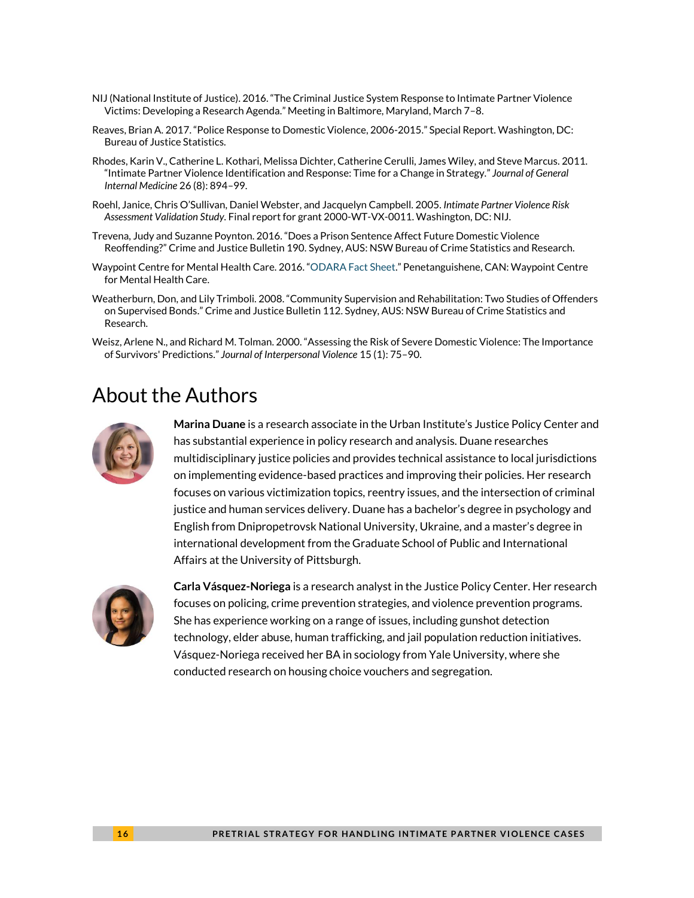- NIJ (National Institute of Justice). 2016. "The Criminal Justice System Response to Intimate Partner Violence Victims: Developing a Research Agenda." Meeting in Baltimore, Maryland, March 7–8.
- Reaves, Brian A. 2017. "Police Response to Domestic Violence, 2006-2015." Special Report. Washington, DC: Bureau of Justice Statistics.
- Rhodes, Karin V., Catherine L. Kothari, Melissa Dichter, Catherine Cerulli, James Wiley, and Steve Marcus. 2011. "Intimate Partner Violence Identification and Response: Time for a Change in Strategy." *Journal of General Internal Medicine* 26 (8): 894–99.
- Roehl, Janice, Chris O'Sullivan, Daniel Webster, and Jacquelyn Campbell. 2005. *Intimate Partner Violence Risk Assessment Validation Study.* Final reportfor grant 2000-WT-VX-0011. Washington, DC: NIJ.
- Trevena, Judy and Suzanne Poynton. 2016. "Does a Prison Sentence Affect Future Domestic Violence Reoffending?" Crime and Justice Bulletin 190. Sydney, AUS: NSW Bureau of Crime Statistics and Research.
- Waypoint Centre for Mental Health Care. 2016. "[ODARA Fact Sheet](http://www.waypointcentre.ca/UserFiles/Servers/Server_9960/File/ODARA%20Fact%20sheet%20v0116.pdf)." Penetanguishene, CAN: Waypoint Centre for Mental Health Care.
- Weatherburn, Don, and Lily Trimboli. 2008. "Community Supervision and Rehabilitation: Two Studies of Offenders on Supervised Bonds." Crime and Justice Bulletin 112. Sydney, AUS: NSW Bureau of Crime Statistics and Research.
- Weisz, Arlene N., and Richard M. Tolman. 2000. "Assessing the Risk of Severe Domestic Violence: The Importance of Survivors' Predictions." *Journal of Interpersonal Violence* 15 (1): 75–90.

### About the Authors



**Marina Duane** is a research associate in the Urban Institute's Justice Policy Center and has substantial experience in policy research and analysis. Duane researches multidisciplinary justice policies and provides technical assistance to local jurisdictions on implementing evidence-based practices and improving their policies. Her research focuses on various victimization topics, reentry issues, and the intersection of criminal justice and human services delivery. Duane has a bachelor's degree in psychology and English from Dnipropetrovsk National University, Ukraine, and a master's degree in international development from the Graduate School of Public and International Affairs at the University of Pittsburgh.



**Carla Vásquez-Noriega** is a research analyst in the Justice Policy Center. Her research focuses on policing, crime prevention strategies, and violence prevention programs. She has experience working on a range of issues, including gunshot detection technology, elder abuse, human trafficking, and jail population reduction initiatives. Vásquez-Noriega received her BA in sociology from Yale University, where she conducted research on housing choice vouchers and segregation.